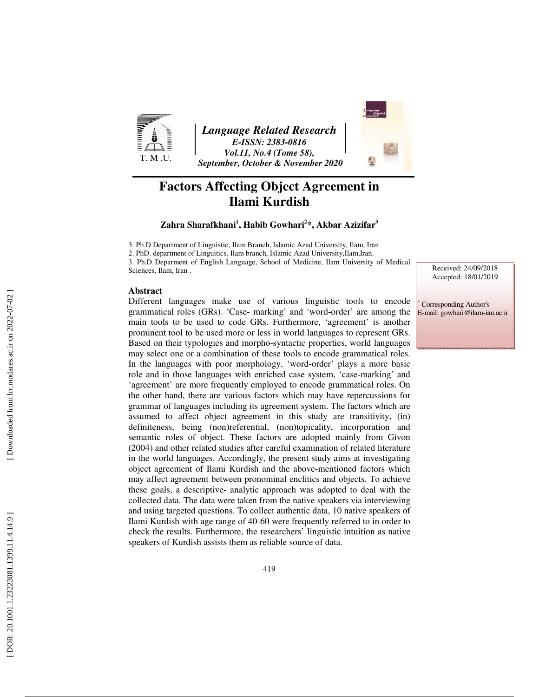

*Language Related Research E-ISSN: 2383-0816 Vol.11, No.4 (Tome 58), September, October & November 2020* 



# **Factors Affecting Object Agreement in Ilami Kurdish**

**Zahra Sharafkhani 1 , Habib Gowhari 2 \*, Akbar Azizifar 3**

3. Ph.D Department of Linguistic, Ilam Branch, Islamic Azad University, Ilam, Iran

2. PhD. department of Linguitics, Ilam branch, Islamic Azad University,Ilam,Iran.

3. Ph.D Deparment of English Language, School of Medicine, Ilam University of Medical Sciences, Ilam, Iran .

### **Abstract**

Different languages make use of various linguistic tools to encode grammatical roles (GRs). 'Case- marking' and 'word-order' are among the main tools to be used to code GRs. Furthermore, 'agreement' is another prominent tool to be used more or less in world languages to represent GRs. Based on their typologies and morpho-syntactic properties, world languages may select one or a combination of these tools to encode grammatical roles. In the languages with poor morphology, 'word-order' plays a more basic role and in those languages with enriched case system, 'case-marking' and 'agreement' are more frequently employed to encode grammatical roles. On the other hand, there are various factors which may have repercussions for grammar of languages including its agreement system. The factors which are assumed to affect object agreement in this study are transitivity, (in) definiteness, being (non)referential, (non)topicality, incorporation and semantic roles of object. These factors are adopted mainly from Givon (2004) and other related studies after careful examination of related literature in the world languages. Accordingly, the present study aims at investigating object agreement of Ilami Kurdish and the above-mentioned factors which may affect agreement between pronominal enclitics and objects. To achieve these goals, a descriptive- analytic approach was adopted to deal with the collected data. The data were taken from the native speakers via interviewing and using targeted questions. To collect authentic data, 10 native speakers of Ilami Kurdish with age range of 40-60 were frequently referred to in order to check the results. Furthermore, the researchers' linguistic intuition as native speakers of Kurdish assists them as reliable source of data.

Received: 24/09/2018 Accepted: 18/01/2019

∗ Corresponding Author's E-mail: gowhari@ilam-iau.ac.ir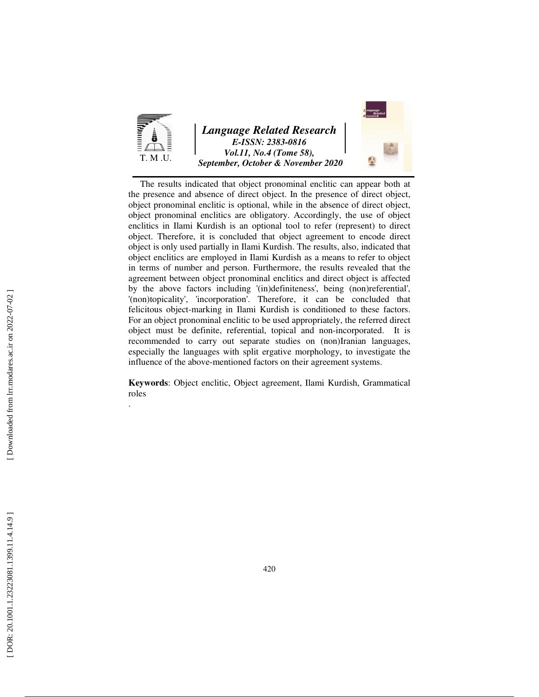

The results indicated that object pronominal enclitic can appear both at the presence and absence of direct object. In the presence of direct object, object pronominal enclitic is optional, while in the absence of direct object, object pronominal enclitics are obligatory. Accordingly, the use of object enclitics in Ilami Kurdish is an optional tool to refer (represent) to direct object. Therefore, it is concluded that object agreement to encode direct object is only used partially in Ilami Kurdish. The results, also, indicated that object enclitics are employed in Ilami Kurdish as a means to refer to object in terms of number and person. Furthermore, the results revealed that the agreement between object pronominal enclitics and direct object is affected by the above factors including '(in)definiteness', being (non)referential', '(non)topicality', 'incorporation'. Therefore, it can be concluded that felicitous object-marking in Ilami Kurdish is conditioned to these factors. For an object pronominal enclitic to be used appropriately, the referred direct object must be definite, referential, topical and non-incorporated. It is recommended to carry out separate studies on (non)Iranian languages, especially the languages with split ergative morphology, to investigate the influence of the above-mentioned factors on their agreement systems.

**Keywords**: Object enclitic, Object agreement, Ilami Kurdish, Grammatical roles .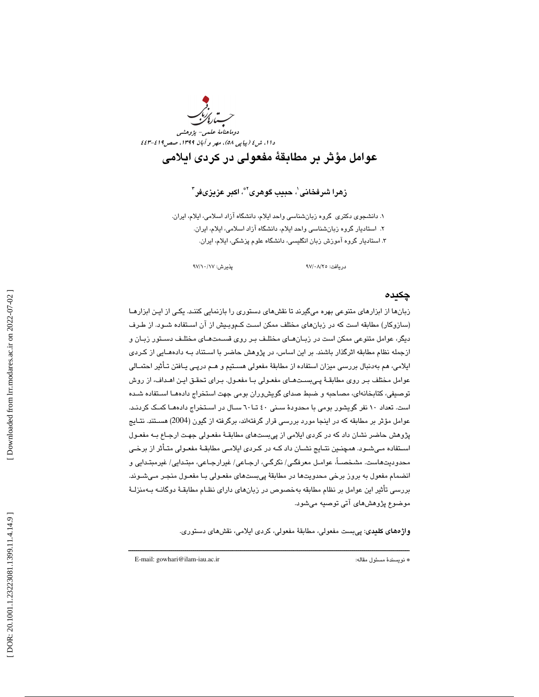

زهرا شرفخانی $^{\backprime}$ ، حبيب گوهری $^{\backsim}$ ، اکبر عزيزیفر $^{\backsim}$ 

۱. دانشجوي دكتري گروه زبانشناسي واحد ايلام، دانشگاه آزاد اسلامي، ايلام، ايران. ۲. استاديار گروه زبانشناسي واحد ايلام، دانشگاه آزاد اسلامي، ايلام، ايران. 3. استاديار گروه آموزش زبان انگليسي ، دانشگاه علوم پزشكي، ايلام، ايران.

دريافت: 25/ 08/ 97 پذيرش: 17/ 10/ 97

## چكيده

زبانها از ابزارهاي متنوعي بهره ميگيرند تا نقشهاي دستوري را بازنمايي كننـد. يكـي از ايـن ابزارهـا (سازوكار) مطابقه است كه در زبانهاي مختلف ممكن است كـموبـيش از آن اسـتفاده شـود. از طـرف ديگر، عوامل متنوعي ممكن است در زبـان هـاي مختلـف بـر روي قسـمت هـاي مختلـف دسـتور زبـان و ازجمله نظام مطابقه اثرگذار باشند. بر اين اساس، در پژوهش حاضر با اسـتناد بـه داده هـايي از كـردي ايلامي، هم بهدنبال بررسي ميزان استفاده از مطابقة مفعولي هسـتيم و هـم درپـي يـافتن تـأثير احتمـالي عوامل مختلف بـر روي مطابقـة پـي بسـت هـاي مفعـولي بـا مفعـول. بـراي تحقـق ايـن اهـداف، از روش توصيفي، كتابخانهاي، مصاحبه و ضبط صداي گويشوران بومي جهت استخراج دادههـا اسـتفاده شـده است. تعداد ١٠ نفر گويشور بومي با محدودهٔ سـني ٤٠ تـا ٦٠ سـال در اسـتخراج دادههـا كمـك كردنـد. عوامل مؤثر بر مطابقه كه در اينجا مورد بررسي قرار گرفتهاند، برگرفته از گيون (2004) هسـتند. نتـايج پژوهش حاضر نشان داد كه در كردي ايلامي از پيبستهاي مطابقـة مفعـولي جهـت ارجـاع بـه مفعـول اسـتفاده مـيشـود. همچنـين نتـايج نشـان داد كـه در كـردي ايلامـي مطابقـة مفعـولي متـأثر از برخـي محدوديتهاست. مشخصـا،ً عوامـل معرفگـي/ نكرگـي، ارجـاعي/ غيرارجـاعي، مبتـدايي/ غيرمبتـدايي و انضمام مفعول به بروز برخي محدويتها در مطابقة پيبستهاي مفعـولي بـا مفعـول منجـر مـي شـوند. بررسي تأثير اين عوامل بر نظام مطابقه بهخصوص در زبانهاي داراي نظـام مطابقـة دوگانـه بـه منزلـة موضوع پژوهشهاي آتي توصيه ميشود.

واژههاي كليدي: پيبست مفعولي، مطابقة مفعولي، كردي ايلامي، نقشهاي دستوري.

ــــــــــــــــــــــــــــــــــــــــــــــــــــــــــــــــــــــــــــــــــــــــــــــــــــــــــــــــــــــــــــــــــــــــــ

E-mail: gowhari@ilam-iau.ac.ir :مقاله مسئول نويسندة\*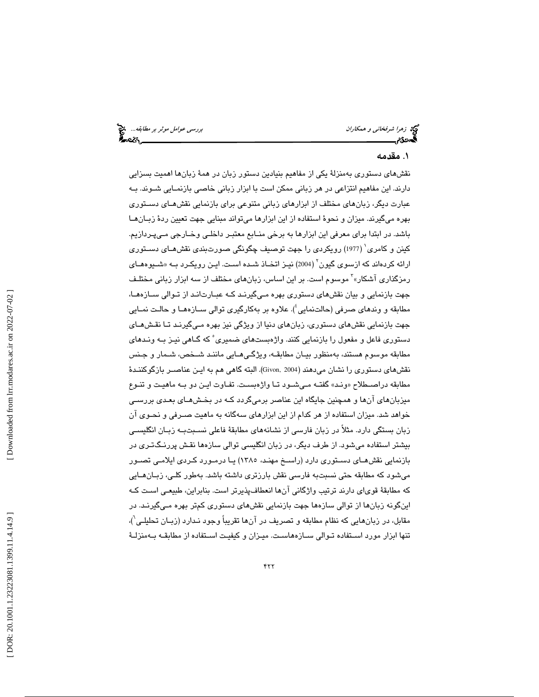توجه زهرا شرفخان*ی و همکاران* بررسی عوامل موثر بر مطابقه... انتخ<br>**بهجودی بررسی علی بررسی علی است که مطابقه به است که مطابق بررسی عوامل موثر بر مطابقه... انتخاب**<br>**بهجودی بررسی به است که مطابق به است که مطابق به است که مطاب** 

## . مقدمه 1

نقشهاي دستوري بهمنزلة يكي از مفاهيم بنيادين دستور زبان در همة زبانها اهميت بسزايي دارند. اين مفاهيم انتزاعي در هر زباني ممكن است با ابزار زباني خاصي بازنمـايي شـوند. بـه عبارت ديگر، زبانهاي مختلف از ابزارهاي زباني متنوعي براي بازنمايي نقشهـاي دسـتوري بهره ميگيرند. ميزان و نحوة استفاده از اين ابزارها ميتواند مبنايي جهت تعيين ردة زبـان هـا باشد. در ابتدا براي معرفي اين ابزارها به برخي منـابع معتبـر داخلـي وخـارجي مـي پـردازيم. كينن و كامري 1 ( 1977) رويكردي را جهت توصيف چگونگي صورتبندي نقشهـاي دسـتوري ارائه كردهاند كه ازسوى گيون<sup>٬ (2004)</sup> نيـز اتخـاذ شـده اسـت. ايـن رويكـرد بـه «شـيوههـاى رمزگذاری آشکار»<sup>۲</sup> موسوم است. بر این اساس، زبانهای مختلف از سه ابزار زبانی مختلـف جهت بازنمايي و بيان نقشهاي دستوري بهره مـي گيرنـد كـه عبـارت انـد از تـوالي سـازه هـا، مطابقه و وندهای صرفی (حالتنمایی<sup>؛</sup>). علاوه بر بهکارگیری توالی ســازههــا و حالـت نمــایی جهت بازنمايي نقشهاي دستوري، زبانهاي دنيا از ويژگي نيز بهره مـي گيرنـد تـا نقـش هـاي دستوري فاعل و مفعول را بازنمايي كنند. واژهبستهاي ضميري 5 كه گـاهي نيـز بـه ونـدهاي مطابقه موسوم هستند، بهمنظور بيـان مطابقـه، ويژگـي هـايي ماننـد شـخص، شـمار و جـنس نقشهاي دستوري را نشان ميدهند (2004 ,Givon(. البته گاهي هم به ايـن عناصـر بازگوكننـدة مطابقه دراصــطلاح «ونـد» گفتــه مـيشــود تــا واژهبسـت. تفــاوت ايــن دو بــه ماهيــت و تنــوع ميزبانهاي آنها و همچنين جايگاه اين عناصر برميگردد كـه در بخـش هـاي بعـدي بررسـي خواهد شد. ميزان استفاده از هر كدام از اين ابزارهاي سهگانه به ماهيت صـرفي و نحـوي آن زبان بستگي دارد. مثلاً در زبان فارسي از نشانههاي مطابقة فاعلي نسـبت بـه زبـان انگليسـي بيشتر استفاده ميشود. از طرف ديگر، در زبان انگليسي توالي سازهها نقـش پررنـگ تـري در بازنمايي نقشهـاي دسـتوري دارد (راسـخ مهنـ د، 1385) يـا درمـورد كـردي ايلامـي تصـور ميشود كه مطابقه حتي نسبتبه فارسي نقش بارزتري داشته باشد. بهطور كلـي، زبـان هـايي كه مطابقة قوياي دارند ترتيب واژگاني آنها انعطافپذيرتر است. بنابراين، طبيعـي اسـت كـه اينگونه زبانها از توالي سازهها جهت بازنمايي نقشهاي دستوري كمتر بهره مـي گيرنـد. در مقابل، در زبانهايي كه نظام مطابقه و تصريف در آنها تقريباً وجود نـدارد (زبـان تحليلـي`)، تنها ابزار مورد اسـتفاده تـوالي سـازه هاسـت. ميـزان و كيفيـت اسـتفاده از مطابقـه بـه منزلـة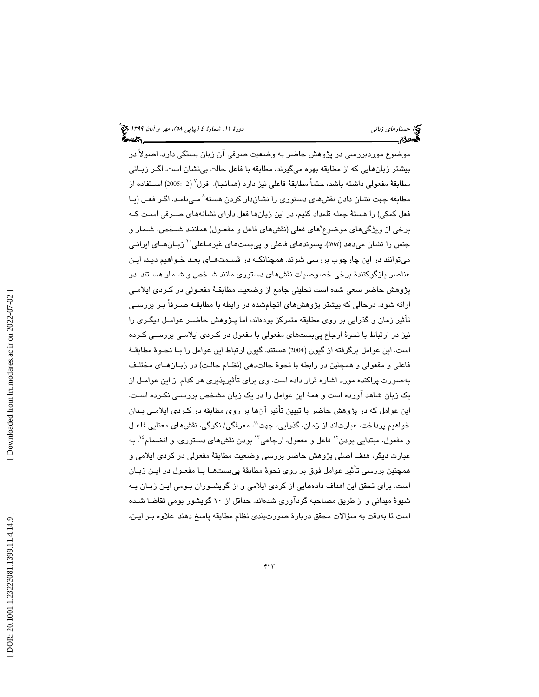موضوع موردبررسي در پژوهش حاضر به وضعيت صرفي آن زبان بستگي دارد. اصولاً در بيشتر زبانهايي كه از مطابقه بهره ميگيرند، مطابقه با فاعل حالت بينشان است. اگـر زبـاني مطابقهٔ مفعولی داشته باشد، حتماً مطابقهٔ فاعلی نیز دارد (همانجا). فرل<sup>۷</sup> (2 :2005) اسـتفاده از مطابقه جهت نشان دادن نقشهاي دستوري را نشاندار كردن هسته 8 مـي نامـد. اگـر فعـل (يـا فعل كمكي) را هستة جمله قلمداد كنيم، در اين زبانها فعل داراي نشانههاي صـرفي اسـت كـه برخي از ويژگيهاي موضوع ْهاي فعلي (نقشهاي فاعل و مفعـول) هماننـد شــخص، شـمار و جنس را نشان مىدهد (*ibid)*. پسوندهاي فاعلى و پيبستهاي غيرفـاعلي `` زبـانهـاي ايرانـي ميتوانند در اين چارچوب بررسي شوند. همچنانكـه در قسـمت هـاي بعـد خـواهيم ديـد، ايـن عناصر بازگوكنندة برخي خصوصيات نقشهاي دستوري مانند شـخص و شـمار هسـتند. در پژوهش حاضر سعي شده است تحليلي جامع از وضعيت مطابقـهٔ مفعـولي در كـردي ايلامـي ارائه شود. درحالي كه بيشتر پژوهشهاي انجامشده در رابطه با مطابقـه صـرفاً بـر بررسـي تأثير زمان و گذرايي بر روي مطابقه متمركز بودهاند، اما پـژوهش حاضـر عوامـل د يگـر ي را نيز در ارتباط با نحوۀ ارجاع پيبستهاي مفعولي با مفعول در كـردي ايلامـي بررسـي كـرده است. اين عوامل برگرفته از گيون (2004) هستند. گيون ارتباط اين عوامل را بـا نحـوهٔ مطابقـهٔ فاعلي و مفعولي و همچنين در رابطه با نحوهٔ حالتدهي (نظـام حالـت) در زبـان هـاي مختلـف بهصورت پراكنده مورد اشاره قرار داده است. وي براي تأثيرپذيري هر كدام از اين عوامـل از یک زبان شاهد آورده است و همهٔ این عوامل را در یک زبان مشخص بررسـی نکـرده اسـت. این عوامل که در پژوهش حاضر با تبیین تأثیر آنها بر روی مطابقه در کـردی ایلامـی بـدان<br>خواهیم پرداخت، عبارتاند از زمان، گذرایی، جهت''، معرفگی/ نکرگی، نقشهای معنایی فاعـل 14 . به عبارت ديگر، هدف اصلي پژوهش حاضر بررسي وضعيت مطابقهٔ مفعولي در كردي ايلامي و همچنين بررسي تأثير عوامل فوق بر روى نحوهٔ مطابقهٔ پيبستهـا بـا مفعـول در ايــن زبــان است. برای تحقق این اهداف دادههایی از کردی ایلامی و از گویشـوران بـومی ایـن زبـان بـه شيوهٔ ميداني و از طريق مصاحبه گردآوري شدهاند. حداقل از ١٠ گويشور بومي تقاضا شـده است تا بهدقت به سؤالات محقق دربارهٔ صورتبندی نظام مطابقه پاسخ دهند. علاوه بـر ایـن،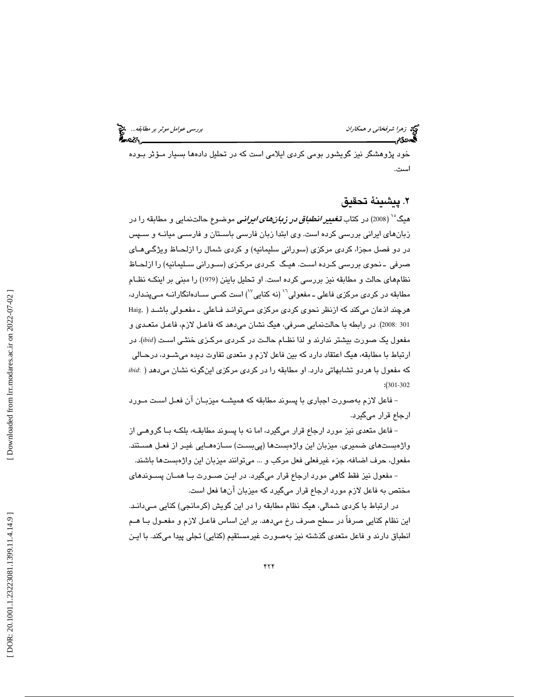توجه زهر*ا شرفخاني و همكاران* بررسي عوامل موثر بر مطابقه... المجمع<br>**هم درسي عوامل موثر بررسي عوامل بررسي عوامل موثر بررسي عوامل موثر بر مطابقه...**<br>**به در تاريخ بررسي بررسي بررسي بررسي بررسي بررسي عوامل بررسي عوامل موثر بر** 

خود پژوهشگر نیز گویشور بومی كردی ایلامی است كه در تحلیل دادهها بسیار مـؤثر بـوده است.

## . پيشينة تحقيق 2

هیگ<sup>۰٬</sup> (2008) در کتاب **تغییر** *انطباق در زبانهای ایرانی* موضوع حالتنمایی و مطابقه را در زبانهاي ايراني بررسي كرده است. وي ابتدا زبان فارسي باسـتان و فارسـي ميانـه و سـپس در دو فصل مجزا، كردي مركزي (سوراني سليمانيه) و كردي شمال را ازلحـاظ ويژگـي هـاي صرفي ـ نحوي بررسي كـرده اسـت. هيـگ كـردي مركـزي (سـوراني سـليمانيه) را ازلحـاظ نظامهاي حالت و مطابقه نيز بررسي كرده است. او تحليل باينن (1979) را مبني بر اينكـه نظـام مطابقه در كردي مركزي فاعلي ـ مفعولي<sup>١٦</sup> (نه كنايي<sup>٧٧</sup>) است كمـي سـادهانگارانــه مـي پنـدارد، هرچند اذعان ميكند كه ازنظر نحوي كردي مركزي مـي توانـد فـاعلي ـ مفعـولي باشـد ( ,Haig 301 :2008). در رابطه با حالتنمايي صرفي، هيگ نشان ميدهد كه فاعـل لازم، فاعـل متعـدي و مفعول يك صورت بيشتر ندارند و لذا نظـام حالـت در كـردي مركـزي خنثـي اسـت ( *ibid*(. در ارتباط با مطابقه، هيگ اعتقاد دارد كه بين فاعل لازم و متعدي تفاوت ديده ميشـود، درحـالي كه مفعول با هردو تشابهاتي دارد. او مطابقه را در كردي مركزي اينگونه نشان ميدهد ( :*ibid*  $:(301-302)$ 

فاعل لازم بهصورت اجباري با پسوند مطابقه كه هميشـه ميزبـان آن فعـل اسـت مـورد - ارجاع قرار ميگيرد.

فاعل متعدي نيز مورد ارجاع قرار ميگيرد، اما نه با پسوند مطابقـه، بلكـه بـا گروهـي از - واژهبستهاي ضميري. ميزبان اين واژهبستها (پيبسـت) سـازه هـايي غيـر از فعـل هسـتند. مفعول، حرف اضافه، جزء غيرفعلي فعل مركب و ... ميتوانند ميزبان اين واژهبستها باشند. مفعول نيز فقط گاهي مورد ارجاع قرار ميگيرد. در ايـن صـورت بـا همـان پسـوندهاي -

مختص به فاعل لازم مورد ارجاع قرار ميگيرد كه ميزبان آنها فعل است.

در ارتباط با كردي شمالي، هيگ نظام مطابقه را در اين گويش (كرمانجي) كنايي مـي دانـد. اين نظام كنايي صرفاً در سطح صرف رخ ميدهد. بر اين اساس فاعـل لازم و مفعـول بـا هـم انطباق دارند و فاعل متعدي گذشته نيز بهصورت غيرمستقيم (كنايي) تجلي پيدا ميكند. با ايـن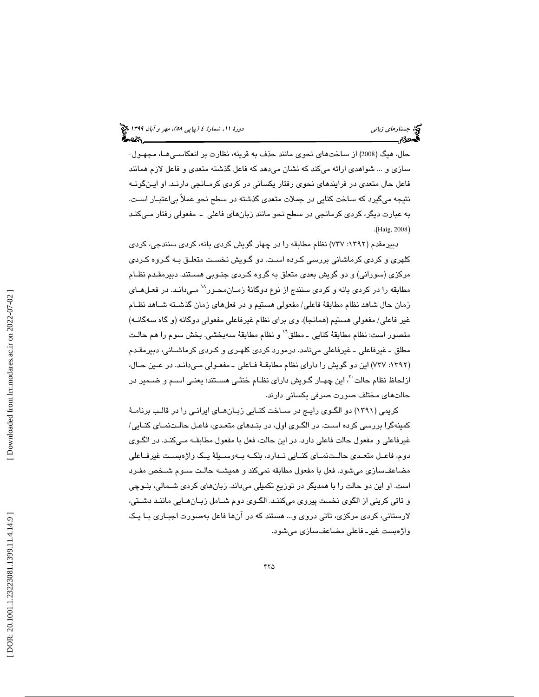حال، هيگ (2008) از ساختهاي نحوي مانند حذف به قرينه، نظارت بر انعكاسـي هـا، مجهـول - سازي و ... شواهدي ارائه ميكند كه نشان ميدهد كه فاعل گذشته متعدي و فاعل لازم همانند فاعل حال متعدي در فرايندهاي نحوي رفتار يكساني در كردي كرمـانجي دارنـد. او ايـن گونـه نتيجه ميگيرد كه ساخت كنايي در جملات متعدي گذشته در سطح نحو عملاً بياعتبـار اسـت. به عبارت ديگر، كردي كرمانجي در سطح نحو مانند زبانهاي فاعلي ـ مفعولي ر فتار مـي كنـد (Haig, 2008).

دبيرمقدم (:1392 737) نظام مطابقه را در چهار گويش كردي بانه، كردي سنندجي، كردي كلهري و كردي كرماشاني بررسي كـرده اسـت. دو گـويش نخسـت متعلـق بـه گـروه كـردي مركزي (سوراني) و دو گويش بعدي متعلق به گروه كـردي جنـوبي هسـتند. دبيرمقـدم نظـام مطابقه را در كردي بانه و كردي سنندج از نوع دوگانهٔ زمـانمحـور<sup>\\</sup> مـيدانـد. در فعـلهـاي زمان حال شاهد نظام مطابقة فاعلي/ مفعولي هستيم و در فعلهاي زمان گذشـته شـاهد نظـام غير فاعلي/ مفعولي هستيم (همانجا). وي براي نظام غيرفاعلي مفعولي دوگانه (و گاه سهگانـه) متصور است: نظام مطابقةً كنايي ــ مطلق`` و نظام مطابقةً سهبخشي. بخش سوم را هم حالـت مطلق ـ غيرفاعلي ـ غيرفاعلي مي نامد. درمورد كردي كلهـري و كـردي كرماشـاني، دبيرمقـدم (١٣٩٢: ٧٣٧) اين دو گويش را داراي نظام مطابقــهٔ فــاعلى ــ مفعـولي مـيدانـد. در عـين حــال، ازلحاظ نظام حالت<sup>71</sup>، اين چهـار گـويش داراي نظـام خنثـي هسـتند؛ يعنـي اسـم و ضــمير در حالتهاي مختلف صورت صرفي يكساني دارند.

كريمي (1391) دو الگـوي رايـج در سـاخت كنـايي زبـان هـاي ايرانـي را در قالـب برنامـة كمينهگرا بررسي كرده اسـت. در الگـوي اول، در بنـدهاي متعـدي، فاعـل حالـت نمـاي كنـايي/ غيرفاعلي و مفعول حالت فاعلي دارد. در اين حالت، فعل با مفعول مطابقـه مـي كنـد. در الگـوي دوم، فاعــل متعــدي حالــت نمــاي كنــايي نــدارد، بلكــه بــه وســيلة يــك واژهبســت غيرفــاعلي مضاعفسازي ميشود. فعل با مفعول مطابقه نميكند و هميشـه حالـت سـوم شـخص مفـرد است. او اين دو حالت را با همديگر در توزيع تكميلي ميداند. زبانهاي كردي شـمالي، بلـوچي و تاتي كريني از الگوي نخست پيروي ميكننـد. الگـوي دوم شـامل زبـان هـايي ماننـد دشـتي، لارستاني، كردي مركزي، تاتي دروي و... هستند كه در آنها فاعل بهصورت اجبـاري بـا يـك واژهبست غيرـ فاعلي مضاعفسازي ميشود.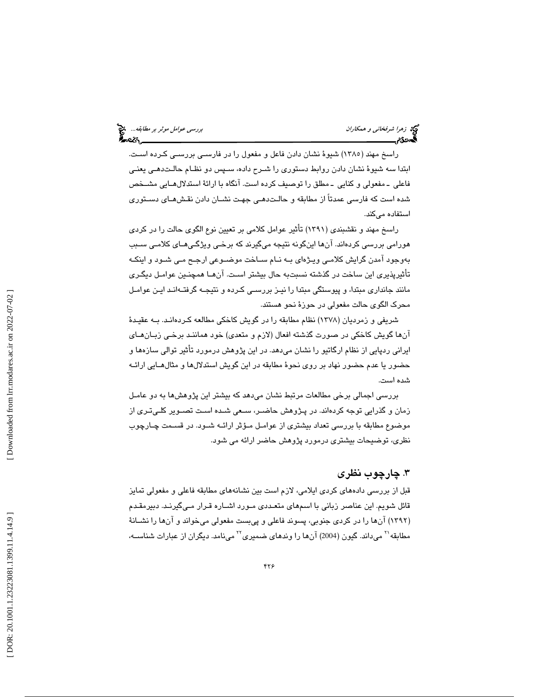نها زهرا شرفخان*ی و همکاران* بررسي ع*وامل موثر بر مطابقه...*. في نظر بر مطابقه... في نظر بر مطابقه... في نظر بر<br>**الس**حدی السلامی

راسخ مهند ( 1385) شيوة نشان دادن فاعل و مفعول را در فارسـي بررسـي كـرده اسـت. ابتدا سه شيوة نشان دادن روابط دستوري را شـرح داده، سـپس دو نظـام حالـت دهـي يعنـي فاعلي ـ مفعولي و كنايي ـ مطلق را توصيف كرده است. آنگاه با ارائة استدلال هـايي مشـخص شده است كه فارسي عمدتاً از مطابقه و حالـت دهـي جهـت نشـان دادن نقـش هـاي دسـتوري استفاده ميكند.

راسخ مهند و نقشبندي (1391) تأثير عوامل كلامي بر تعيين نوع الگوي حالت را در كردي هورامي بررسي كردهاند. آنها اينگونه نتيجه ميگيرند كه برخـي ويژگـي هـاي كلامـي سـبب بهوجود آمدن گرايش كلامـي ويـژه اي بـه نـ ام سـاخت موضـوعي ارجـح مـي شـود و اينكـه تأثيرپذيري اين ساخت در گذشته نسبتبه حال بيشتر اسـت. آن هـا همچنـين عوامـل ديگـري مانند جانداري مبتدا، و پيوستگي مبتدا را نيـز بررسـي كـرده و نتيجـه گرفتـه انـد ايـن عوامـل محرك الگوي حالت مفعولي در حوزة نحو هستند.

شريفي و زمرديان (1378) نظام مطابقه را در گويش كاخكي مطالعه كـرده انـد. بـه عقيـدة آنها گويش كاخكي در صورت گذشته افعال (لازم و متعدي) خود هماننـد برخـي زبـان هـاي ايراني ردپايي از نظام ارگاتيو را نشان ميدهد. در اين پژوهش درمورد تأثير توالي سازهها و حضور يا عدم حضور نهاد بر روي نحوة مطابقه در اين گويش استدلالها و مثالهـايي ارائـه شده است.

بررسي اجمالي برخي مطالعات مرتبط نشان ميدهد كه بيشتر اين پژوهشها به دو عامـل زمان و گذرايي توجه كردهاند. در پـژوهش حاضـر، سـعي شـده اسـت تصـوير كلـي تـري از موضوع مطابقه با بررسي تعداد بيشتري از عوامـل مـؤ ثر ارائـه شـود. در قسـمت چـارچوب نظري، توضيحات بيشتري درمورد پژوهش حاضر ارائه مي شود.

## . چارچوب نظري 3

قبل از بررسي دادههاي كردي ايلامي، لازم است بين نشانههاي مطابقه فاعلي و مفعولي تمايز قائل شويم. اين عناصر زباني با اسمهاي متعـددي مـورد اشـاره قـرار مـي گيرنـد. دبيرمقـدم (۱۳۹۲) آنها را در كردي جنوبي، پسوند فاعلي و پيبست مفعولي ميخواند و آنها را نشــانهٔ مطابقه $^{\prime\prime}$  میداند. گیون (2004) آنها را وندهای ضمیری $^{\prime\prime}$  مینامد. دیگران از عبارات شناســه،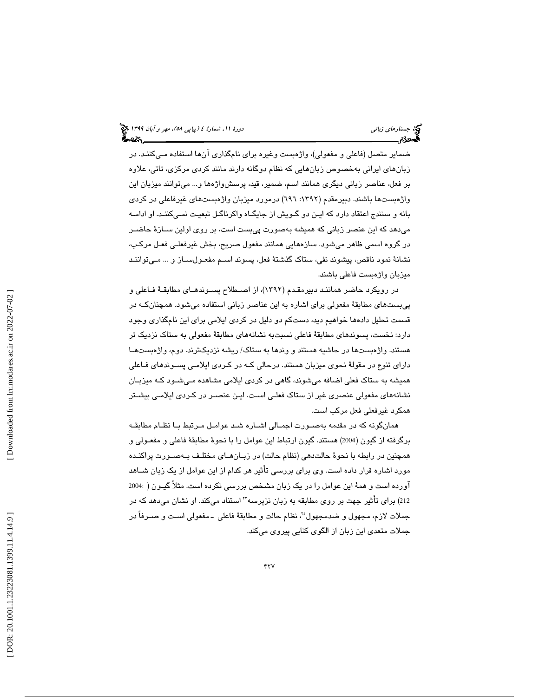ضماير متصل (فاعلي و مفعولي)، واژهبست وغيره براي نامگذاري آنها استفاده مـ يكننـد. در زبانهاي ايراني بهخصوص زبانهايي كه نظام دوگانه دارند مانند كردي مركزي، تاتي، علاوه بر فعل، عناصر زباني ديگري همانند اسم، ضمير، قيد، پرسشواژهها و... ميتوانند ميزبان اين واژهبستها باشند. دبيرمقدم (:1392 696) درمورد ميزبان واژهبستهاي غيرفاعلي در كردي بانه و سنندج اعتقاد دارد كه ايـن دو گـويش از جايگـاه واكرناگـل تبعيـت نمـي كننـد. او ادامـه ميدهد كه اين عنصر زباني كه هميشه بهصورت پيبست است، بر روي اولين سـازة حاضـر در گروه اسمي ظاهر ميشود. سازههايي همانند مفعول صريح، بخش غيرفعلـي فعـل مركـب، نشانة نمود ناقص، پيشوند نفي، ستاك گذشتة فعل، پسوند اسـم مفعـول سـاز و ... مـي تواننـد ميزبان واژهبست فاعلي باشند.

در رويكرد حاضر هماننـد دبيرمقـدم ( 1392)، از اصـطلاح پسـوند هـاي مطابقـة فـاعلي و پيبستهاي مطابقة مفعولي براي اشاره به اين عناصر زباني استفاده ميشود. همچنانكـه در قسمت تحليل دادهها خواهيم ديد، دستكم دو دليل در كردي ايلامي براي اين نامگذاري وجود دارد: نخست، پسوندهاي مطابقة فاعلي نسبتبه نشانههاي مطابقة مفعولي به ستاك نزديك تر هستند. واژهبستها در حاشيه هستند و وندها به ستاك/ ريشه نزديكترند. دوم، واژهبستهـا داراي تنوع در مقولة نحوي ميزبان هستند. درحالي كـه در كـردي ايلامـي پسـوندهاي فـاعلي هميشه به ستاك فعلي اضافه ميشوند، گاهي در كردي ايلامي مشاهده مـي شـود كـه ميزبـان نشانههاي مفعولي عنصري غير از ستاك فعلـي اسـت. ايـن عنصـر در كـردي ايلامـي بيشـتر همكرد غيرفعلي فعل مركب است.

همانگونه كه در مقدمه بهصـورت اجمـالي اشـاره شـد عوامـل مـرتبط بـا نظـام مطابقـه برگرفته از گيون (2004) هستند. گيون ارتباط اين عوامل را با نحوهٔ مطابقهٔ فاعلی و مفعـولی و همچنين در رابطه با نحوهٔ حالت<code>دهی</code> (نظام حالت) در زبـانهـای مختلـف بـهصـورت پراكنـده مورد اشاره قرار داده است. وی برای بررسی تأثیر هر کدام از این عوامل از یک زبان شــاهد آورده است و همهٔ اين عوامل را در يک زبان مشخص بررسى نکرده است. مثلاً گيـون ( :2004<br>212) براى تأثير جهت بر روى مطابقه به زبان نزپرسه™ استناد مىکند. او نشان مىدهد که در جملات لازم، مجهول و ضدمجهول''، نظام حالت و مطابقهٔ فاعلي ــ مفعولي اسـت و صــرفاً در جملات متعدي اين زبان از الگوي كنايي پيروي ميكند.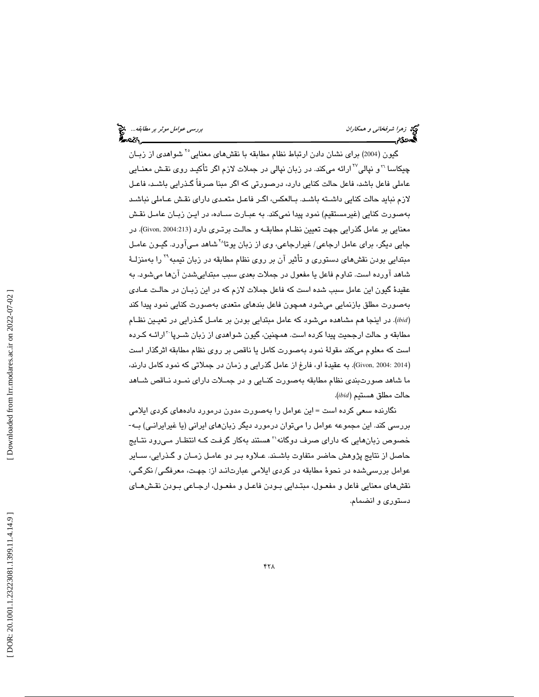نهج زهر*ا شرفخاني و همكاران* بررسي ع*وامل موثر بر مطابقه...*. چ<mark>خ</mark><br>پهچونکار بررسي عوامل موثر بر مطابقه...<br>پهچونکار بررسي عوامل موثر بررسي عوامل موثر بررسي عوامل موثر بر مطابقه...

گيون (2004) برای نشان دادن ارتباط نظام مطابقه با نقشهای معنایی°<sup>۲</sup> شواهدی از زبـان چیكاسا "و نپالي<sup>"≀</sup>ارائه مىكند. در زبان نپالى در جملات لازم اگر تأكيـد روى نقـش معنـايي عاملي فاعل باشد، فاعل حالت كنايي دارد، درصورتي كه اگر مبنا صرفاً گـذرايي باشـد، فاعـل لازم نبايد حالت كنايي داشـته باشـد. بـالعكس، اگـر فاعـل متعـدي داراي نقـش عـاملي نباشـد بهصورت كنايي (غيرمستقيم) نمود پيدا نميكند. به عبـارت سـاده، در ايـن زبـان عامـل نقـش معنايي بر عامل گذرايي جهت تعيين نظـام مطابقـه و حالـت برتـري دارد ( 2004:213 ,Givon(. در جایی دیگر، برای عامل ارجاعی/ غیرارجاعی، وی از زبان یوتا<sup>۲۸</sup> مبتدايي بودن نقشهاي دستوري و تأثير آن بر روي نظام مطابقه در زبان تيمبه<sup>٢٩</sup> را بهمنزلــهٔ شاهد آورده است. تداوم فاعل يا مفعول در جملات بعدي سبب مبتداييشدن آنها ميشود. به عقيدة گيون اين عامل سبب شده است كه فاعل جملات لازم كه در اين زبـان در حالـت عـادي بهصورت مطلق بازنمايي ميشود همچون فاعل بندهاي متعدي بهصورت كنايي نمود پيدا كند *ibid*(. در اينجا هم مشاهده ميشود كه عامل مبتدايي بودن بر عامـل گـذرايي در تعيـين نظـام ) مطابقه و حالت ارجحیت پیدا كرده است. همچنین، گیون شواهدی از زبان شـرپا<sup>۲۰</sup>ارائــه كـرده است كه معلوم ميكند مقولة نمود بهصورت كامل يا ناقص بر روي نظام مطابقه اثرگذار است (Givon, 2004: 2014). به عقيدهٔ او، فارغ از عامل گذرايي و زمان در جملاتي كه نمود كامل دارند، ما شاهد صورتبندي نظام مطابقه بهصورت كنـايي و در جمـلات داراي نمـود نـاقص شـاهد حالت مطلق هستيم (*ibid*( .

نگارنده سعی كرده است = اين عوامل را بهصورت مدون درمورد دادههای كردی ايلامی<br>بررسی كند. اين مجموعه عوامل را میتوان درمورد ديگر زبانهای ايرانی (يا غيرايرانـی) بـه-خصوص زبانهايي كه داراي صرف دوگانه'' هستند بهكار گرفت كـه انتظـار مـيرود نتـايج حاصل از نتايج پژوهش حاضر متفاوت باشـند. عـلاوه بـر دو عامـل زمـان و گـذرايي، ســاير عوامل بررسیشده در نحوهٔ مطابقه در کردی ایلامی عبارتانـد از: جهـت، معرفگـی/ نکرگـی، نقشهاي معنايي فاعل و مفعـول، مبتـدايي بـودن فاعـل و مفعـول، ارجـاعي بـودن نقـشهـاي دستوري و انضمام.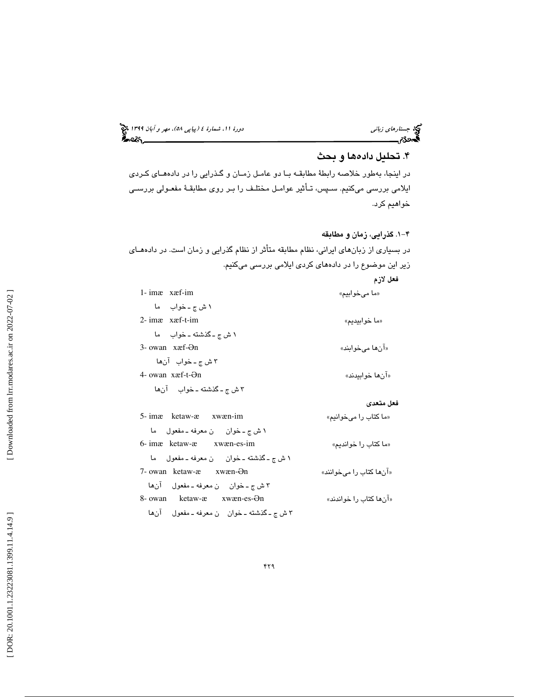(پياپي 58)، مهر و آبان 1399 جستارهاي زباني دورة ،11 شمارة 4

## . تحليل دادهها و بحث 4

در اينجا، بهطور خلاصه رابطة مطابقـه بـا دو عامـل زمـان و گـذرايي را د ر دادههـاي كـردي ايلامي بررسي ميكنيم. سـپس، تـأثير عوامـل مختلـف را بـر روي مطابقـة مفعـولي بررسـي خواهيم كرد.

4-1 . گذرايي، زمان و مطابقه در بسياري از زبانهاي ايراني، نظام مطابقه متأثر از نظام گذرايي و زمان است. در دادههـاي زير اين موضوع را در دادههاي كردي ايلامي بررسي ميكنيم.

|                                                  | فعل لازم                 |
|--------------------------------------------------|--------------------------|
| 1-imæ xæf-im                                     | «ما مىخوابيم»            |
| ۱ ش ج ـ خواب ما                                  |                          |
| $2$ - imæ xæf-t-im                               | «ما خوابيديم»            |
| ١ ش ج ـ گذشته ـ خواب ما                          |                          |
| 3- owan xæf-Ən                                   | «آنها مي خوابند»         |
| ٣ ش ج ـ خواب آنها                                |                          |
| 4- owan $x$ a f-t- $\Theta$ n                    | «آنها خوابيدند»          |
| ٣ ش ج ـ گذشته ـ خواب   آنها                      |                          |
|                                                  | فعل متعدى                |
| 5-imæ ketaw-æ xwæn-im                            | «ما كتاب را مىخوانيم»    |
| ١ ش ج ـ خوان _ ن معرفه ـ مفعول _ ما              |                          |
| 6-ima ketaw-a xwan-es-im                         | «ما كتاب را خوانديم»     |
| ١ ش ج ـ گذشته ـ خوان من معرفه ـ مفعول ما         |                          |
| $7$ - owan ketaw- $x$ xw $x$ en- $\Theta$ n      | «آنها کتاب را می خوانند» |
| ٣ ش ج ـ خوان پن معرفه ـ مفعول آنها               |                          |
| 8- owan ketaw-æ xwæn-es-Ən                       | «آنها کتاب را خواندند»   |
| ٣ ش ج ـ گذشته ـ خوان    ن معرفه ـ مفعول     آنها |                          |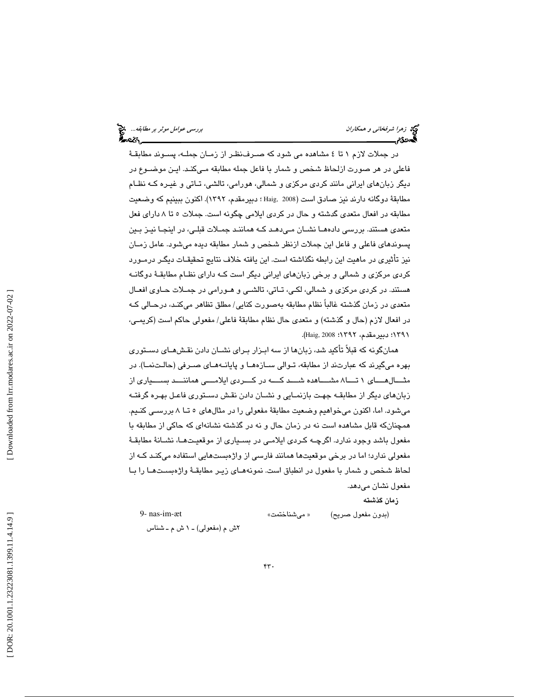نهج زهر*ا شرفخاني و همكاران* بررسي ع*وامل موثر بر مطابقه...*. وهم تصرف بر مطابقه... وهم تصرف عوامل موثر بر مطابقه...<br>**البررسي عوامل بررسي على البررسي على البررسي على البررسي على البررسي على البررسي على البررسي على البررسي** 

در جملات لازم 1 تا 4 مشاهده مي شود كه صـرف نظـر از زمـان جملـه، پسـوند مطابقـة فاعلي در هر صورت ازلحاظ شخص و شمار با فاعل جمله مطابقه مـي كنـد. ايـن مو ضـوع در ديگر زبانهاي ايراني مانند كردي مركزي و شمالي، هورامي، تالشي، تـاتي و غيـره كـه نظـام مطابقة دوگانه دارند نيز صادق است (2008 ,Haig ؛ دبيرمقدم، 1392). اكنون ببينيم كه وضعيت مطابقه در افعال متعدي گدشته و حال در كردي ايلامي چگونه است. جملات 5 8تا داراي فعل متعدي هستند. بررسي دادههـا نشـان مـي دهـد كـه هماننـد جمـلات قبلـي، در اينجـا نيـز بـين پسوندهاي فاعلي و فاعل اين جملات ازنظر شخص و شمار مطابقه ديده ميشود. عامل زمـان نيز تأثيري در ماهيت اين رابطه نگذاشته است. اين يافته خلاف نتايج تحقيقـات ديگـر درمـورد كردي مركزي و شمالي و برخي زبانهاي ايراني ديگر است كـه داراي نظـام مطابقـة دوگانـه هستند. در كردي مركزي و شمالي، لكـي، تـاتي، تالشـي و هـورامي در جمـلات حـاوي افعـال متعدي در زمان گذشته غالباً نظام مطابقه بهصورت كنايي/ مطلق تظاهر ميكنـد، درحـالي كـه در افعال لازم (حال و گذشته) و متعدي حال نظام مطابقة فاعلي/ مفعولي حاكم است (كريمـي، 1391؛ دبيرمقدم، 1392؛ 2008 ,Haig( .

همانگونه كه قبلاً تأكيد شد، زبانها از سه ابـزار بـراي نشـان دادن نقـش هـاي دسـتوري بهره ميگيرند كه عبارتند از مطابقه، تـوالي سـازه هـا و پايانـه هـاي صـرفي (حالـت نمـا). در مثـــالهـــاي 1 تـــا 8 مشـــاهده شـــد كـــه در كـــردي ايلامـــي هماننـــد بســـياري از زبانهاي ديگر از مطابقـه جهـت بازنمـايي و نشـان دادن نقـش دسـتوري فاعـل بهـره گرفتـه ميشود. اما، اكنون ميخواهيم وضعيت مطابقة مفعولي را در مثالهاي 5 تـا 8 بررسـي كنـيم. همچنانكه قابل مشاهده است نه در زمان حال و نه در گذشته نشانهاي كه حاكي از مطابقه با مفعول باشد وجود ندارد. اگرچـه كـردي ايلامـي در بسـياري از موقعيـت هـا، نشـانة مطابقـة مفعولي ندارد؛ اما در برخي موقعيتها همانند فارسي از واژهبستهايي استفاده ميكنـد كـه از لحاظ شخص و شمار با مفعول در انطباق است. نمونههـاي زيـر مطابقـة واژه بسـت هـا را بـا مفعول نشان ميدهد.

زمان گذشته

(بدون مفعول صريح) « مي شناختمت» صبح (19- nas-im- $x$ t (19-  $x$ 9  $y$ 

ش م (مفعولي) ـ 1 ش م ـ شناس 2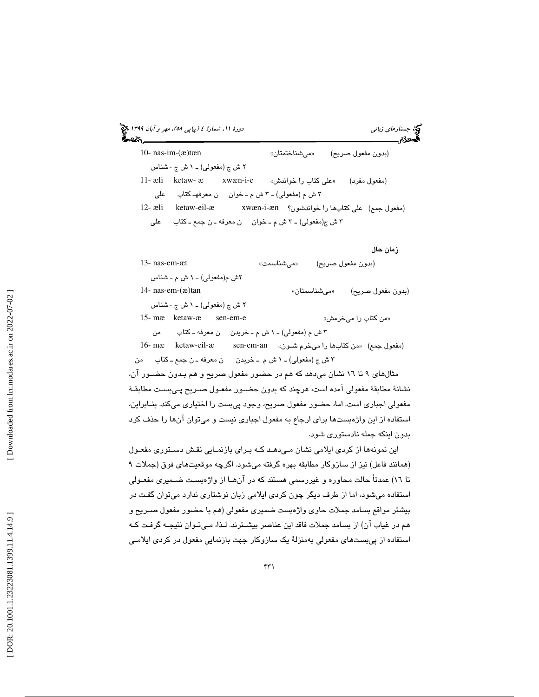| دورهٔ ۱۱، شمارهٔ ٤ (پیاپی ۵۸)، مهر و آبان ۱۳۹۹ چی<br>్న                       |               | <b>پج</b> جستارهای زبانی              |
|-------------------------------------------------------------------------------|---------------|---------------------------------------|
| 10- nas-im- $(x)$ tæn                                                         | «مىشناختمتان» | (بدون مفعول صريح)                     |
| ۲ ش ج (مفعولی) ـ ۱ ش ج -شناس                                                  |               |                                       |
|                                                                               |               | (مفعول مفرد)                          |
| ۳ ش م (مفعولي) ـ ۳ ش م ـ خوان ہ ن معرفھـ کتاب علمي                            |               |                                       |
| (مفعول جمع) على كتابها را خواندشون؟ xwæn-i-æn هـxwæn-i-æn كتابها را خواندشون؟ |               |                                       |
| ٣ ش ج(مفعولي) ـ ٣ ش م ـ خوان ہ ن معرفه ـ ن جمع ـ كتاب ہ على                   |               |                                       |
|                                                                               |               |                                       |
|                                                                               |               | زمان حال                              |
| 13- nas-em-æt                                                                 | «می شناسمت»   | (ٻدون مفعول صريح)                     |
| ۲ش م(مفعولی) ــ ۱ ش م ــ شناس                                                 |               |                                       |
| 14- nas-em- $(x)$ tan                                                         | «میشناسمتان»  | (بدون مفعول صريح)                     |
| ٢ ش ج (مفعولی) ـ ١ ش ج -شناس                                                  |               |                                       |
| 15- mæ ketaw-æ<br>sen-em-e                                                    |               | «من کتاب را میخرمش»                   |
| ٣ ش م (مفعولي) ـ ١ ش م ـ خريدن      ن معرفه ـ كتاب         من                 |               |                                       |
| 16- mæ ketaw-eil-æ sen-em-an                                                  |               | (مفعول جمع) «من كتابها را مىخرم شـون» |
| ٣ ش ج (مفعولي) ـ ١ ش م ـ خريدن      ن معرفه ـ ن جمع ـ كتاب     من             |               |                                       |
| مثالهای ۹ تا ۱۲ نشان میدهد که هم در حضور مفعول صریح و هم بـدون حضــور ان،     |               |                                       |
|                                                                               |               |                                       |

نشانة مطابقة مفعولي آمده است، هرچند كه بدون حضـور مفعـول صـريح پـي بسـت مطابقـة مفعولي اجباري است. اما، حضور مفعول صريح، وجود پيبست را اختياري ميكند. بنـابراين، استفاده از اين واژهبستها براي ارجاع به مفعول اجباري نيست و ميتوان آنها را حذف كرد بدون اينكه جمله نادستوري شود.

اين نمونهها از كردي ايلامي نشان مـيدهـد كـه بـراي بازنمـايي نقـش دسـتوري مفعـول (همانند فاعل) نيز از سازوكار مطابقه بهره گرفته ميشود. اگرچه موقعيتهاي فوق (جملات 9 تا 16) عمدتاً حالت محاوره و غيررسمي هستند كه در آنهـا از واژهبسـت ضـميري مفعـولي استفاده ميشود، اما از طرف ديگر چون كردي ايلامي زبان نوشتاري ندارد ميتوان گفـت در بيشتر مواقع بسامد جملات حاوي واژهبست ضميري مفعولي (هم با حضور مفعول صـريح و هم در غياب آن) از بسامد جملات فاقد اين عناصر بيشـترند. لـذا، مـي تـوان نتيجـه گر فـت كـه استفاده از پيبستهاي مفعولي بهمنزلة يك سازوكار جهت بازنمايي مفعول در كردي ايلامـي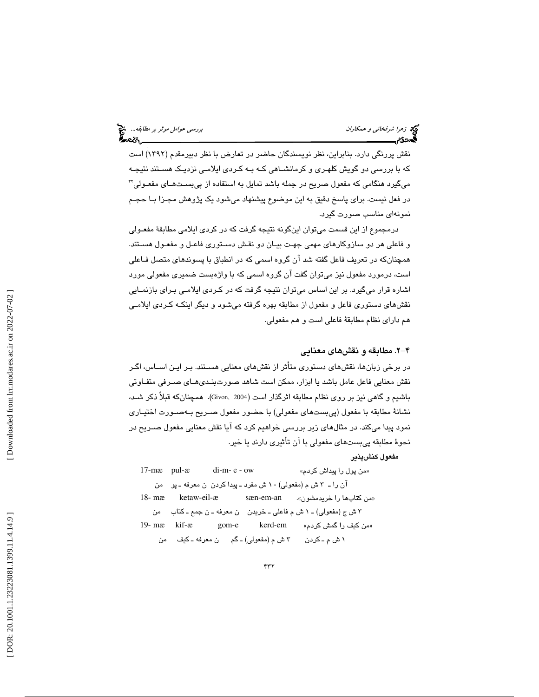نهج زهرا شرفخان*ی و همکاران* بررسي ع*وامل موثر بر مطابقه...*. چ<mark>خ</mark><br>پهروی بررسي عوامل موثر بر مطابقه...<br>پهروی بررسي علم الله موضوع بررسي علم الله موضوع بررسي علم الله موضوع بررسي علم الله موضوع بررسي علم الله موضوع

نقش پررنگي دارد. بنابراين، نظر نويسندگان حاضر در تعارض با نظر دبيرمقدم (1392) است كه با بررسي دو گويش كلهـري و كرمانشـاهي كـه بـه كـردي ايلامـي نزديـك هسـتند نتيجـه ميگيرد هنگامي كه مفعول صريح در جمله باشد تمايل به استفاده از پيبسـت هـاي مفعـولي 32 در فعل نيست. براي پاسخ دقيق به اين موضوع پيشنهاد ميشود يك پژوهش مجـزا بـا حجـم نمونهاي مناسب صورت گيرد.

درمجموع از اين قسمت ميتوان اينگونه نتيجه گرفت كه در كردي ايلامي مطابقة مفعـولي و فاعلي هر دو سازوكارهاي مهمي جهـت بيـان دو نقـش دسـتوري فاعـل و مفعـول هسـتند. همچنانكه در تعريف فاعل گفته شد آن گروه اسمي كه در انطباق با پسوندهاي متصل فـاعلي است، درمورد مفعول نيز ميتوان گفت آن گروه اسمي كه با واژهبست ضميري مفعولي مورد اشاره قرار ميگيرد. بر اين اساس ميتوان نتيجه گرفت كه در كـردي ايلامـي بـراي بازنمـايي نقشهاي دستوري فاعل و مفعول از مطابقه بهره گرفته ميشود و ديگر اينكـه كـردي ايلامـي هم داراي نظام مطابقة فاعلي است و هم مفعولي.

### 4-2 . مطابقه و نقشهاي معنايي

در برخي زبانها، نقشهاي دستوري متأثر از نقشهاي معنايي هسـتند. بـر ايـن اسـاس، اگـر نقش معنايي فاعل عامل باشد يا ابزار، ممكن است شاهد صورتبنـدي هـاي صـرفي متفـاوتي باشيم و گاهي نيز بر روي نظام مطابقه اثرگذار است (2004 ,Givon). همچنانكه قبلاً ذكر شـد، نشانة مطابقه با مفعول (پيبستهاي مفعولي) با حضور مفعول صـريح بـه صـورت اختيـاري نمود پيدا ميكند. در مثالهاي زير بررسي خواهيم كرد كه آيا نقش معنايي مفعول صـريح در نحوة مطابقه پيبستهاي مفعولي با آن تأثيري دارند يا خير.

مفعول كنشپذير

|          |             | $17$ -m $x$ pul- $x$ di-m- $e$ -ow               | «من پول را پیداش کردم»                                                |
|----------|-------------|--------------------------------------------------|-----------------------------------------------------------------------|
|          |             |                                                  | آن را ـ ٣ ش م (مفعولي) - ١ ش مفرد ــ پيدا کردن  ن معرفه ــ پو    من   |
| $18-$ mæ | ketaw-eil-æ | sæn-em-an                                        | «من کتابها را خریدمشون».                                              |
|          |             |                                                  | ٣ ش ج (مفعولي) ـ ١ ش م فاعلي ـ خريدن    ن معرفه ـ ن جمع ـ كتاب     من |
|          |             | 19-mækif-ægom-ekerd-em                           | «من کیف را گمش کردم»                                                  |
|          |             | ٣ ش م (مفعولي) ـ گم       ن معرفه ــ کيف      من | ۱ ش م ـ کردن                                                          |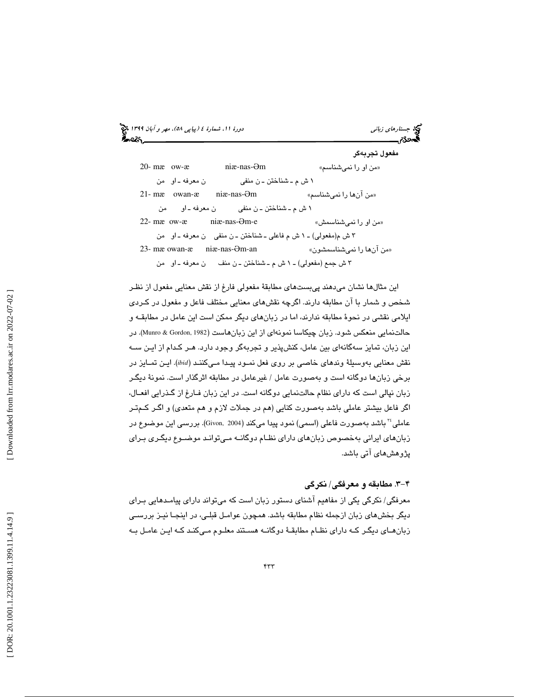(پياپي 58)، مهر و آبان 1399 جستارهاي زباني دورة ،11 شمارة 4

مفعول تجربه گر 20- mæ ow-æ niæ-nas-«من او را نمي شناسم» 1 ش م ـ شناختن ـ ن منفي ن معرفه ـ او من 21- mæ owan-æ niæ-nas-«من آنها را نميشناسم» 1 ش م ـ شناختن ـ ن منفي ن معرفه ـ او من 22- mæ ow-æ niæ-nas-Əm-e «شناسمش من او را نمي » 3 ش م(مفعولي) ـ 1 ش م فاعلي ـ شناختن ـ ن منفي ن معرفه ـ او من 23- mæ owan-æ niæ-nas-Əm-an «نميشناسمشون را آنها من » 3 ش جمع (مفعولي) ـ 1 ش م ـ شناختن ـ ن منف ن معرفه ـ او من

اين مثالها نشان ميدهند پيبستهاي مطابقة مفعولي فارغ از نقش معنايي مفعول از نظـر شخص و شمار با آن مطابقه دارند. اگرچه نقشهاي معنايي مختلف فاعل و مفعول در كـردي ايلامي نقشي در نحوة مطابقه ندارند، اما در زبانهاي ديگر ممكن است اين عامل در مطابقـه و حالتنمايي منعكس شود. زبان چيكاسا نمونهاي از اين زبانهاست (Munro & Gordon, 1982). در اين زبان، تمايز سه گانهاي بين عامل، كنشپذير و تجربهگر وجود دارد. هـر كـدام از ايـن سـه نقش معنايي بهوسيلة وندهاي خاصي بر روي فعل نمـود پيـدا مـي كننـد ( *ibid*(. ايـن تمـايز در برخي زبانها دوگانه است و بهصورت عامل / غيرعامل در مطابقه اثرگذار است. نمونة ديگـر زبان نپالي است كه داراي نظام حالتنمايي دوگانه است. در اين زبان فـارغ از گـذرايي افعـال، اگر فاعل بيشتر عاملي باشد بهصورت كنايي (هم در جملات لازم و هم متعدي) و اگـر كـم تـر عاملي َّ باشد بهصورت فاعلي (اسمي) نمود پيدا ميكند (2004 ,Givon, بررسي اين موضوع در زبانهاي ايراني بهخصوص زبانهاي داراي نظـام دوگانـه مـي توانـد موضـوع ديگـري بـراي پژوهشهاي آتي باشد.

## 4-3 . مطابقه و معرفگي/ نكرگي

معرفگي/ نكرگي يكي از مفاهيم آشناي دستور زبان است كه ميتواند داراي پيامـدهايي بـراي ديگر بخشهاي زبان ازجمله نظام مطابقه باشد. همچون عوامـل قبلـي، در اينجـا نيـز بررسـي زبانهـاي ديگـر كـه داراي نظـام مطابقـة دوگانـه هسـتند معلـوم مـي كنـد كـه ايـن عامـل بـه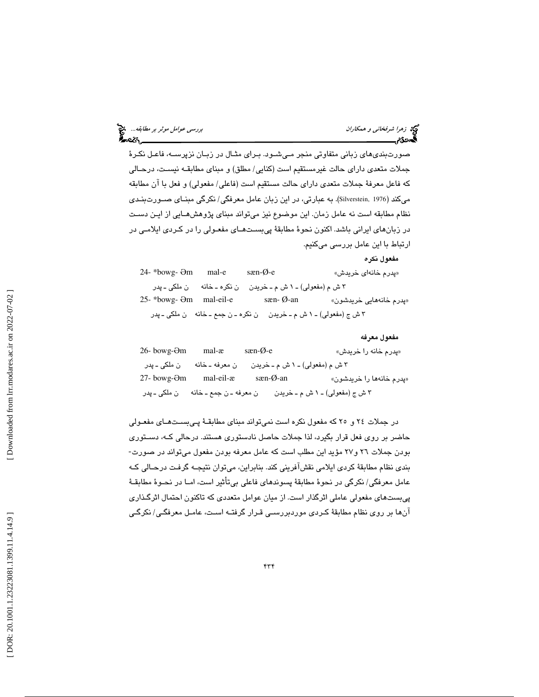| بررس <i>ی عوامل موٹر بر مطابقه</i> چی<br>موجود |  |  |
|------------------------------------------------|--|--|
|                                                |  |  |

مفعول نكره

صورتبنديهاي زباني متفاوتي منجر مـي شـود. بـراي مثـال در زبـان نزپرسـه، فاعـل نكـرة جملات متعدي داراي حالت غيرمستقيم است (كنايي/ مطلق) و مبناي مطابقـه نيسـت، درحـالي كه فاعل معرفة جملات متعدي داراي حالت مستقيم است (فاعلي/ مفعولي) و فعل با آن مطابقه ميكند (1976 ,Silverstein). به عبارتي، در اين زبان عامل معرفگي/ نكرگي مبنـاي صـورت بنـدي نظام مطابقه است نه عامل زمان. اين موضوع نيز ميتواند مبناي پژوهشهـايي از ايـن دسـت در زبانهاي ايراني باشد. اكنون نحوة مطابقة پيبسـت هـاي مفعـولي را در كـردي ايلامـي در ارتباط با اين عامل بررسي ميكنيم.

24- \*bowg-Əm mal-e sæn-Ø-e «خريدش خانهاي پدرم » 3 ش م (مفعولي) ـ 1 ش م ـ خريدن ن نكره ـ خانه ن ملكي ـ پدر 25-\*bowg- Əm mal-eil-e Əm mal-eil-e sæn- Ø-an «خريدشون خانههايي پدرم » 3 ش ج (مفعولي) ـ 1 ش م ـ خريدن ن نكره ـ ن جمع ـ خانه ن ملكي ـ پدر

مفعول معرفه 26- bowg-Əm mal-æ sæn-Ø-e «خريدش را خانه پدرم » 3 ش م (مفعولي) ـ 1 ش م ـ خريدن ن معرفه ـ خانه ن ملكي ـ پدر 27- bowg-Əm mal-eil-æ sæn-Ø-an «خريدشون را خانهها پدرم » 3 ش ج (مفعولي) ـ 1 ش م ـ خريدن ن معرفه ـ ن جمع ـ خانه ن ملكي ـ پدر

در جملات و 24 25 كه مفعول نكره است نميتواند مبناي مطابقـة پـي بسـت هـاي مفعـولي حاضر بر روی فعل قرار بگيرد، لذا جملات حاصل نادستوری هستند. درحالی کـه، دسـتوری<br>بودن جملات ٢٦ و٢٧ مؤيد اين مطلب است که عامل معرفه بودن مفعول مے تواند در صورت-بندي نظام مطابقة كردي ايلامي نقشآفريني كند. بنابراين، ميتوان نتيجـه گرفـت درحـالي كـه عامل معرفگي/ نكرگي در نحوة مطابقة پسوندهاي فاعلي بيتأثير است، امـا در نحـوة مطابقـة پيبستهاي مفعولي عاملي اثرگذار است. از ميان عوامل متعددي كه تاكنون احتمال اثرگـذاري آنها بر روي نظام مطابقة كـردي موردبررسـي قـرار گرفتـه اسـت، عامـل معرفگـي/ نكرگـي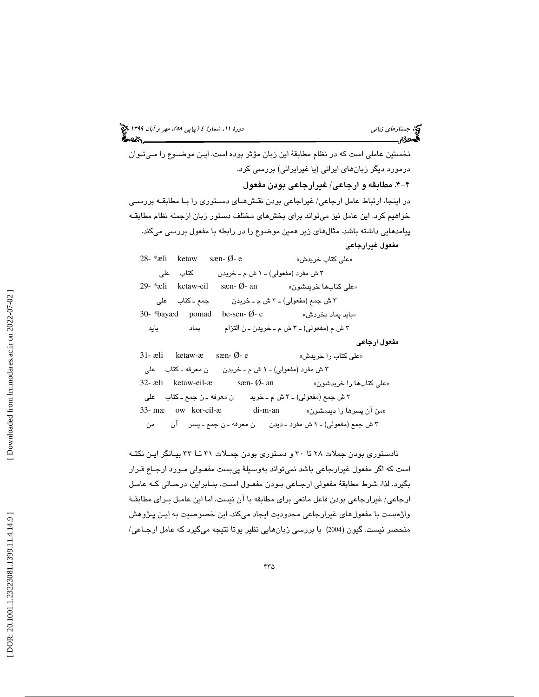نخستين عاملي است كه در نظام مطابقة اين زبان مؤثر بوده است. ايـن موضـوع را مـي تـوان رمورد ديگر زبانهاي ايراني (يا غيرايراني) بررسي كرد. د 4-4 . مطابقه و ارجاعي/ غيرارجاعي بودن مفعول

در اينجا، ارتباط عامل ارجاعي/ غيراجاعي بودن نقـش هـاي دسـتوري را بـا مطابقـه بررسـي خواهيم كرد. اين عامل نيز ميتواند براي بخشهاي مختلف دستور زبان ازجمله نظام مطابقـه پيامدهايي داشته باشد. مثالهاي زير همين موضوع را در رابطه با مفعول بررسي ميكند. مفعول غيرارجاعي

| $28 - \times$ ali | ketaw          | sæn- Ø- e              | «على كتاب خريدش»                          |
|-------------------|----------------|------------------------|-------------------------------------------|
| على               | كتاب           |                        | ٣ ش مفرد (مفعولي) ـ ١ ش م ـ خريدن         |
| $29$ - *æli       | ketaw-eil      | sæn- $\emptyset$ - an  | «على كتابها خريدشون»                      |
|                   | جمع ـ كتاب على |                        | ٣ ش جمع (مفعولي) ـ ٣ ش م ـ خريدن          |
| $30$ - *bayæd     | pomad          | be-sen- $\emptyset$ -e | «بايد پماد بخردش»                         |
| باید              | يماد           |                        | ٣ ش م (مفعولي) ـ ٣ ش م ـ خريدن ـ ن التزام |

مفعول ارجاعي

31- æli ketaw-æ sæn- Ø- e «خريدش را كتاب علي » 3 ش مفرد (مفعولي) ـ 1 ش م ـ خريدن ن معرفه ـ كتاب علي 32- æli ketaw-eil-æ sæn- Ø- an « خريدشون را كتابها علي« 3 ش جمع (مفعولي) ـ 3 ش م ـ خريد ن معرفه ـ ن جمع ـ كتاب علي 33- mæ ow kor-eil-æ di-m-an من آن پسرها را ديدمشون» » 3 ش جمع (مفعولي) ـ 1 ش مفرد ـ ديدن ن معرفه ـ ن جمع ـ پسر آن من

نادستوري بودن جملات 28 تا 30 و دستوري بودن جمـلات 31 تـا 33 بيـانگر ايـن نكتـه است كه اگر مفعول غيرارجاعي باشد نميتواند بهوسيلة پيبست مفعـولي مـورد ارجـاع قـرار بگيرد. لذا، شرط مطابقة مفعولي ارجـاعي بـودن مفعـول اسـت. بنـابراين، درحـالي كـه عامـل ارجاعي/ غيرارجاعي بودن فاعل مانعي براي مطابقه با آن نيست، اما اين عامـل بـراي مطابقـة واژهبست با مفعولهاي غيرارجاعي محدوديت ايجاد ميكند. اين خصوصيت به ايـن پـژوهش منحصر نيست. گيون (2004) با بررسي زبانهايي نظير يوتا نتيجه ميگيرد كه عامل ارجـاعي/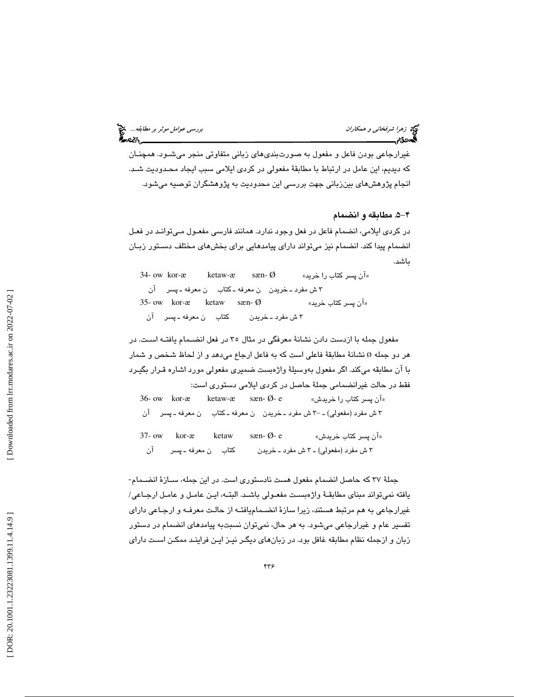توجه زهرا *شرفخانی و همكاران* بررسي عوامل موثر بر مطابقه... الميخ<br>**برر**سي عوامل موثر بر مطابقه...<br>**بهج**دی:

غيرارجاعي بودن فاعل و مفعول به صورتبنديهاي زباني متفاوتي منجر ميشـود. همچنـان كه ديديم، اين عامل در ارتباط با مطابقة مفعولي در كردي ايلامي سبب ايجاد محـدوديت شـد. انجام پژوهشهاي بينزباني جهت بررسي اين محدوديت به پژوهشگران توصيه ميشود.

4-5 . مطابقه و انضمام

در كردي ايلامي، انضمام فاعل در فعل وجود ندارد. همانند فارسي مفعـول مـي توانـد در فعـل انضمام پيدا كند. انضمام نيز ميتواند داراي پيامدهايي براي بخشهاي مختلف دسـتور زبـان باشد.

34- ow kor-æ ketaw-æ sæn- Ø «خريد را كتاب پسر آن » 3 ش مفرد ـ خريدن ن معرفه ـ كتاب ن معرفه ـ پسر آن 35- ow kor- $x$  ketaw sæn- $\emptyset$ «آن پسر کتاب خرید» 3 ش مفرد ـ خريدن كتاب ن معرفه ـ پسر آن

مفعول جمله با ازدست دادن نشانة معرفگي در مثال 35 در فعل انضـمام يافتـه اسـت. در هر دو جمله Ø نشانهٔ مطابقهٔ فاعلی است که به فاعل ارجاع میدهد و از لحاظ شخص و شمار با آن مطابقه ميكند. اگر مفعول بهوسيلة واژهبست ضميري مفعولي مورد اشاره قـرار بگيـرد فقط در حالت غيرانضمامي جملة حاصل در كردي ايلامي دستوري است:

 $36$ - ow kor- $x$  ketaw- $x$  sæn- $\emptyset$ - e «آن پسر کتاب را خریدش» 3 ش مفرد (مفعولي) ـ -3 ش مفرد ـ خريدن ن معرفه ـ كتاب ن معرفه ـ پسر آن

 $37$ - ow kor-æ ketaw sæn- Ø- e «آن پسر كتاب خريدش»  $\sigma$ 3 ش مفرد (مفعولي) ـ 3 ش مفرد ـ خريدن كتاب ن معرفه ـ پسر آن

جملة 37 كه حاصل انضمام مفعول هست نادستوري است. در اين جمله، سـازة انضـمام - يافته نميتواند مبناي مطابقـة واژه بسـت مفعـولي باشـد. البتـه، ايـن عامـل و عامـل ارجـاعي/ غيرارجاعي به هم مرتبط هستند، زيرا سازة انضـمام يافتـه از ح الـت معرفـه و ارجـاعي داراي تفسير عام و غيرارجاعي ميشود. به هر حال، نميتوان نسبتبه پيامدهاي انضمام در دستور زبان و ازجمله نظام مطابقه غافل بود. در زبانهاي ديگـر نيـز ايـن فراينـد ممكـن اسـت داراي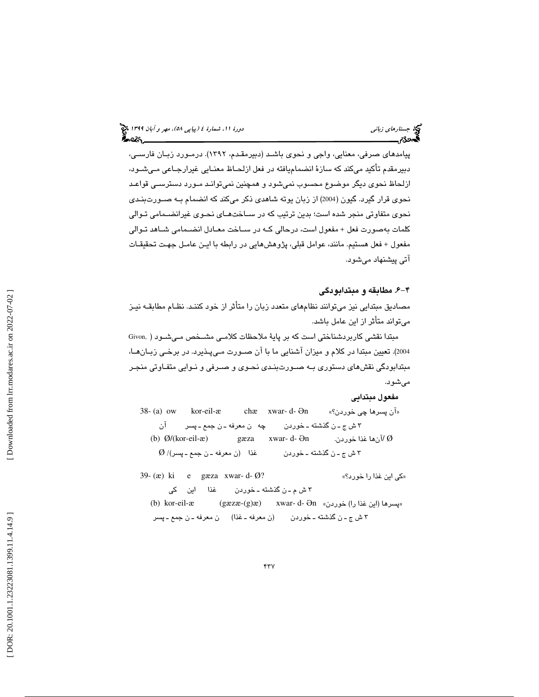پيامدهاي صرفي، معنايي، واجي و نحوي باشـد (دبيرمقـدم، 1392). درمـورد زبـان فارسـي، دبيرمقدم تأكيد ميكند كه سازة انضماميافته در فعل ازلحـاظ معنـايي غيرارجـاعي مـي شـود، ازلحاظ نحوي ديگر موضوع محسوب نميشود و همچنين نميتوانـد مـورد دسترسـي قواعـد نحوي قرار گيرد. گيون (2004) از زبان يوته شاهدي ذكر ميكند كه انضمام بـه صـورت بنـدي نحوي متفاوتي منجر شده است؛ بدين ترتيب كه در سـاخت هـاي نحـوي غيرانضـمامي تـوالي كلمات بهصورت فعل + مفعول است، درحالي كـه در سـاخت معـادل انضـمامي شـاهد تـوالي مفعول + فعل هستيم. مانند، عوامل قبلي، پژوهشهايي در رابطه با ايـن عامـل جهـت تحقيقـات آتي پيشنهاد ميشود.

### 4-6 . مطابقه و مبتدابودگي

مصاديق مبتدايي نيز ميتوانند نظامهاي متعدد زبان را متأثر از خود كننـد. نظـام مطابقـه نيـز ميتواند متأثر از اين عامل باشد.

مبتدا نقشي كاربردشناختي است كه بر پاية ملاحظات كلامـي مشـخص مـي شـود ( ,Givon 2004). تعيين مبتدا در كلام و ميزان آشنايي ما با آن صـورت مـي پـذيرد. در برخـي زبـان هـا، مبتدابودگي نقشهاي دستوري بـه صـورت بنـدي نحـوي و صـرفي و نـوايي متفـاوتي منجـر ميشود.

مفعول مبتدايي

38- (a) ow kor-eil-æ chæ xwar- d-Ə آن پسرها چي خوردن؟» n » 3 ش ج ـ ن گذشته ـ خوردن چه ن معرفه ـ ن جمع ـ پسر آن (b) Ø/(kor-eil-æ) gæza xwar- d-آنها غذا خوردن.  $\emptyset$  $\mathcal{D}$  ش ج ـ ن گذشته ـ خوردن  $\text{d}$  غذا (ن معرفه ـ ن جمع ـ پسر)/  $\mathcal{P}$ 

39- (æ) ki e gæza xwar- d- $\varnothing$ ? «کی این غذا را خورد؟» 3 ش م ـ ن گذشته ـ خوردن غذا اين كي (b) kor-eil-æ (gæzæ-(g)æ) xwar- d-Ən « خوردن) را غذا اين (پسرها« 3 ش ج ـ ن گذشته ـ خوردن (ن معرفه ـ غذا) ن معرفه ـ ن جمع ـ پسر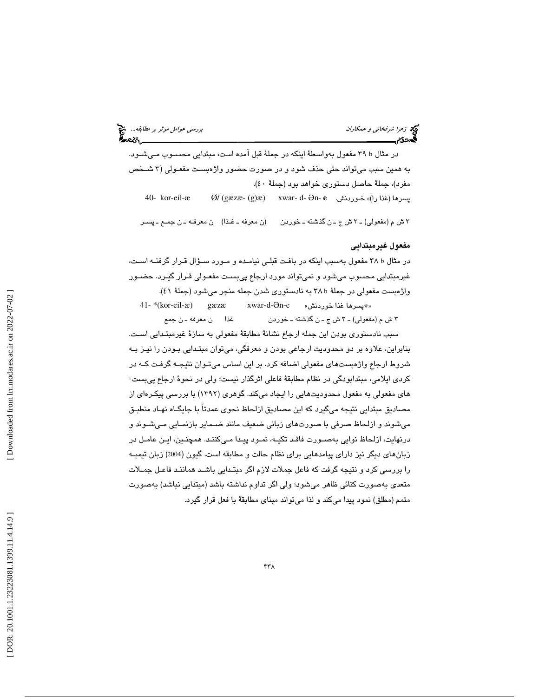| دید زمرا شرفخانی و همکاران<br>دیگانی به دیگر |  |
|----------------------------------------------|--|
|                                              |  |

بررس*ی عوامل موثر بر مطابقه...*. م**نتج**<br>است مستقیمات مستقیم

در مثال b ۳۹ مفعول بهواسطهٔ اینکه در جملهٔ قبل آمده است، مبتدایی محســوب مـیشــود. به همين سبب ميتواند حتي حذف شود و در صورت حضور واژهبسـت مفعـولي ( 3 شـخص مفرد)، جملة حاصل دستوري خواهد بود (جملة 40 ). 40- kor-eil-æ Ø/ (gæzæ- (g)æ) xwar- d-Ən-**e** .خـوردنش)» را غذا (پسرها

3 ش م (مفعولي) ـ 3 ش ج ـ ن گذشته ـ خوردن (ن معرفه ـ غـذا) ن معرفـه ـ ن جمـع ـ پسـر

### مفعول غيرمبتدايي

در مثال ۲۸ b مفعول بهسبب اينكه در بافت قبلـي نيامـده و مـورد سـؤال قـرار گرفتـه اسـت، غيرمبتدايي محسوب ميشود و نميتواند مورد ارجاع پيبسـت مفعـولي قـرار گيـرد. حضـور واژهبست مفعولي در جملة b 38 به نادستوري شدن جمله منجر ميشود (جملة )41.

41- $*(\text{kor-eil-}x)$  gæzæ Ən-e «\*پسرها غذا خوردنش» 3 ش م (مفعولي) ـ 3 ش ج ـ ن گذشته ـ خوردن غذا ن معرفه ـ ن جمع

سبب نادستوري بودن اين جمله ارجاع نشانة مطابقة مفعولي به سازة غيرمبتـدايي اسـت. بنابراين، علاوه بر دو محدوديت ارجاعي بودن و معرفگي، ميتوان مبتـدايي بـودن را نيـز بـه شروط ارجاع واژهبستهای مفعولی اضافه کرد. بر این اساس میتـوان نتیجـه گرفـت کــه در<br>کردی ایلامی، مبتدابودگی در نظام مطابقهٔ فاعلی اثرگذار نیست؛ ولی در نحوهٔ ارجاع پی،ست-هاي مفعولي به مفعول محدوديتهايي را ايجاد ميكند. گوهري (1392 ) با بررسي پيكـره اي از مصاديق مبتدايي نتيجه ميگيرد كه اين مصاديق ازلحاظ نحوي عمدتاً با جايگـاه نهـاد منطبـق ميشوند و ازلحاظ صرفي با صورتهاي زباني ضعيف مانند ضـماير بازنمـايي مـي شـوند و درنهايت، ازلحاظ نوايي بهصـورت فاقـد تكيـه، نمـود پيـدا مـي كننـد. همچنـين، ايـن عامـل در زبانهاي ديگر نيز داراي پيامدهايي براي نظام حالت و مطابقه است. گيون (2004) زبان تيمبـه را بررسي كرد و نتيجه گرفت كه فاعل جملات لازم اگر مبتـدايي باشـد هماننـد فاعـل جمـلات متعدي بهصورت كنائي ظاهر ميشود؛ ولي اگر تداوم نداشته باشد (مبتدايي نباشد) بهصورت متمم (مطلق) نمود پيدا ميكند و لذا ميتواند مبناي مطابقة با فعل قرار گيرد.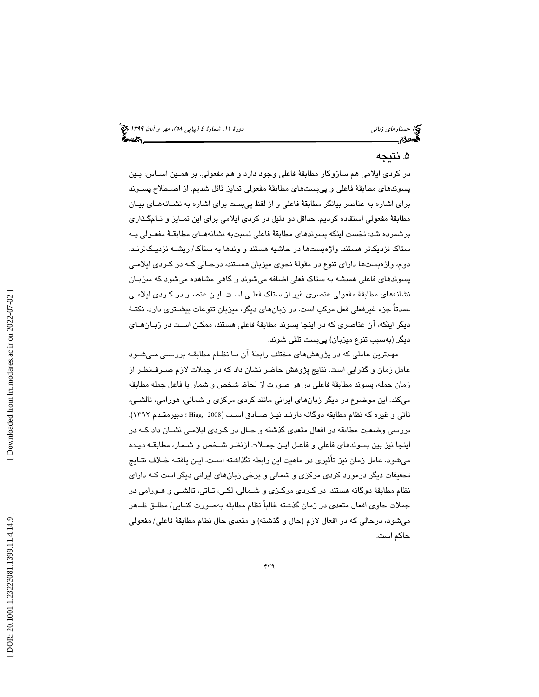## . نتيجه 5

در كردي ايلامي هم سازوكار مطابقة فاعلي وجود دارد و هم مفعولي. بر همـين اسـاس، بـين پسوندهاي مطابقة فاعلي و پيبستهاي مطابقة مفعولي تمايز قائل شديم. از اصـطلاح پسـوند براي اشاره به عناصر بيانگر مطابقة فاعلي و از لفظ پيبست براي اشاره به نشـانه هـاي بيـان مطابقة مفعولي استفاده كرديم. حداقل دو دليل در كردي ايلامي براي اين تمـايز و نـام گـذاري برشمرده شد: نخست اينكه پسوندهاي مطابقة فاعلي نسبتبه نشانههـاي مطابقـة مفعـولي بـه ستاك نزديكتر هستند. واژهبستها در حاشيه هستند و وندها به ستاك/ ريشـه نز ديـك ترنـد. دوم، واژهبستها داراي تنوع در مقولة نحوي ميزبان هسـتند، درحـالي كـه در كـردي ايلامـي پسوندهاي فاعلي هميشه به ستاك فعلي اضافه ميشوند و گاهي مشاهده ميشود كه ميزبـان نشانههاي مطابقة مفعولي عنصري غير از ستاك فعلـي اسـت. ايـن عنصـر در كـردي ايلامـي عمدتاً جزء غيرفعلي فعل مركب است. در زبانهاي ديگر، ميزبان تنوعات بيشـتري دارد. نكتـة ديگر اينكه، آن عناصري كه در اينجا پسوند مطابقة فاعلي هستند، ممكـن اسـت در زبـان هـاي ديگر (بهسبب تنوع ميزبان) پيبست تلقي شوند.

مهمترين عاملي كه در پژوهشهاي مختلف رابطة آن بـا نظـام مط ابقـه بررسـي مـي شـود عامل زمان و گذرايي است. نتايج پژوهش حاضر نشان داد كه در جملات لازم صـرف نظـر از زمان جمله، پسوند مطابقة فاعلي در هر صورت از لحاظ شخص و شمار با فاعل جمله مطابقه ميكند. اين موضوع در ديگر زبانهاي ايراني مانند كردي مركزي و شمالي، هورامي، تالشـ ي، تاتي و غيره كه نظام مطابقه دوگانه دارنـد نيـز صـادق اسـت ( 2008 ,Hiag ؛ دبيرمقـدم 1392). بررسي وضعيت مطابقه در افعال متعدي گذشته و حـال در كـردي ايلامـي نشـان داد كـه در اينجا نيز بين پسوندهاي فاعلي و فاعـل ايـن جمـلات ازنظـر شـخص و شـمار، مطابقـه ديـده ميشود. عامل زمان نيز تأثيري در ماهيت اين رابطه نگذاشته اسـت. ايـن يافتـه خـلاف نتـايج تحقيقات ديگر درمورد كردي مركزي و شمالي و برخي زبانهاي ايراني ديگر است كـه داراي نظام مطابقة دوگانه هستند. در كـردي مركـزي و شـمالي، لكـي، تـاتي، تالشـي و هـورامي در جملات حاوي افعال متعدي در زمان گذشته غالباً نظام مطابقه بهصورت كنـايي/ مطلـق ظـاهر ميشود، درحالي كه در افعال لازم (حال و گذشته) و متعدي حال نظام مطابقة فاعلي/ مفعولي حاكم است.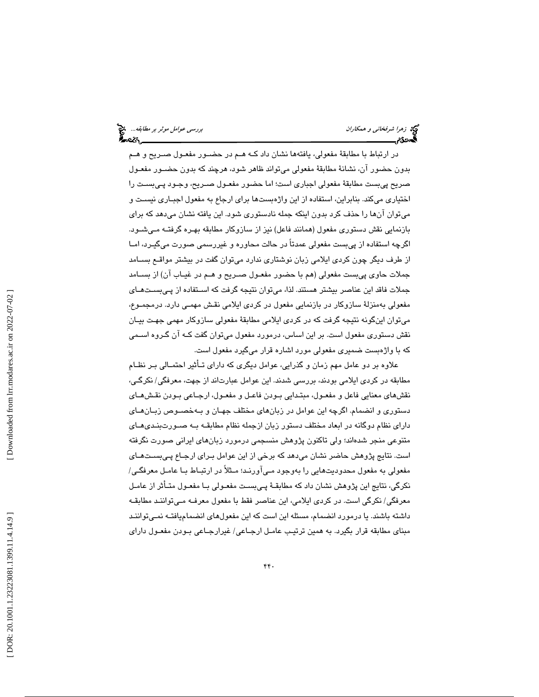نهج زهر*ا شرفخاني و همكاران* بررسي ع*وامل موثر بر مطابقه...*. وهم تصرف بر مطابقه... وهم تصرف عوامل موثر بر مطابقه...<br>**البررسي عوامل بررسي على البررسي على البررسي على البررسي على البررسي على البررسي على البررسي على البررسي** 

در ارتباط با مطابقة مفعولي، يافتهها نشان داد كـه هـم در حضـور مفعـول صـريح و هـم بدون حضور آن، نشانة مطابقة مفعولي ميتواند ظاهر شود، هرچند كه بدون حضـور مفعـول صريح پيبست مطابقة مفعولي اجباري است؛ اما حضور مفعـول صـريح، وجـود پـي بسـت را اختياري ميكند. بنابراين، استفاده از اين واژهبستها براي ارجاع به مفعول اجبـاري نيسـت و ميتوان آنها را حذف كرد بدون اينكه جمله نادستوري شود. اين يافته نشان ميدهد كه براي بازنمايي نقش دستوري مفعول (همانند فاعل) نيز از سازوكار مطابقه بهـره گرفتـه مـي شـود. اگرچه استفاده از پيبست مفعولي عمدتاً در حالت محاوره و غيررسمي صورت ميگيـرد، امـا از طرف ديگر چون كردي ايلامي زبان نوشتاري ندارد ميتوان گفت در بيشتر مواقـع بسـامد جملات حاوي پيبست مفعولي (هم با حضور مفعـول صـريح و هـم در غيـاب آن) از بسـامد جملات فاقد اين عناصر بيشتر هستند. لذا، ميتوان نتيجه گرفت كه اسـتفاده از پـي بسـت هـاي مفعولي بهمنزلة سازوكار در بازنمايي مفعول در كردي ايلامي نقـش مهمـي دارد. درمجمـوع، توان اينگونه نتيجه گرفت كه در كردي ايلامي مطابقة مفعولي سازوكار مهمي جهـت بيـان مي نقش دستوري مفعول است. بر اين اساس، درمورد مفعول ميتوان گفت كـه آن گـروه اسـمي كه با واژهبست ضميري مفعولي مورد اشاره قرار ميگيرد مفعول است.

علاوه بر دو عامل مهم زمان و گذرايي، عوامل ديگري كه داراي تـأثير احتمـالي بـر نظـام مطابقه در كردى ايلامى بودند، بررسى شدند. اين عوامل عبارتاند از جهت، معرفگى/ نكرگـى، نقشهاي معنايي فاعل و مفعـول، مبتـدايي بـودن فاعـل و مفعـول، ارجـاعي بـودن نقـشهـاي دستور ي و انضمام. اگرچه اين عوامل در زبانهاي مختلف جهـان و بـه خصـوص زبـان هـاي داراي نظام دوگانه در ابعاد مختلف دستور زبان ازجمله نظام مطابقـه بـه صـورت بنـدي هـاي متنوعي منجر شدهاند؛ ولي تاكنون پژوهش منسجمي درمورد زبانهاي ايراني صورت نگرفته است. نتايج پژوهش حاضر نشان ميدهد كه برخي از اين عوامل بـراي ارجـاع پـي بسـت هـاي مفعولي به مفعول محدوديتهايي را بهوجود مـي آورنـد؛ مـثلاً در ارتبـاط بـا عامـل معرفگـي/ نكرگي، نتايج اين پژوهش نشان داد كه مطابقـة پـي بسـت مفعـولي بـا مفعـول متـأثر از عامـل معرفگي/ نكرگي است. در كردي ايلامي، اين عناصر فقط با مفعول معرفـه مـي تواننـد مطابقـه داشته باشند. يا درمورد انضمام، مسئله اين است كه اين مفعولهاي انضماميافتـه نمـي تواننـد مبناي مطابقه قرار بگيرد. به همين ترتيـب عامـل ارجـاعي/ غيرارجـاعي بـودن مفعـول داراي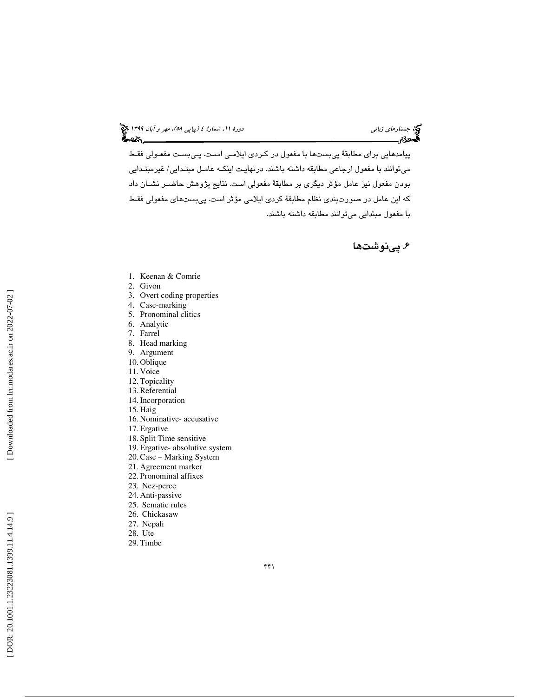(پياپي 58)، مهر و آبان 1399 جستارهاي زباني دورة ،11 شمارة 4

پيامدهايي براي مطابقة پيبستها با مفعول در كـردي ايلامـي اسـت. پـي بسـت مفعـولي فقـط ميتوانند با مفعول ارجاعي مطابقه داشته باشند. درنهايـت اينكـه عامـل مبتـدايي/ غيرمبتـدايي بودن مفعول نيز عامل مؤثر ديگري بر مطابقة مفعولي است. نتايج پژوهش حاضـر نشـان داد كه اين عامل در صورتبندي نظام مطابقة كردي ايلامي مؤثر است. پيبستهاي مفعولي فقـط با مفعول مبتدايي ميتوانند مطابقه داشته باشند.

. پينوشت ها 6

- 1. Keenan & Comrie
- 2. Givon
- 3. Overt coding properties
- 4. Case-marking
- 5. Pronominal clitics
- 6. Analytic
- 7. Farrel
- 8. Head marking
- 9. Argument
- 10. Oblique
- 11. Voice
- 12. Topicality 13. Referential
- 14. Incorporation
- 
- 15. Haig
- 16. Nominative- accusative
- 17. Ergative
- 18. Split Time sensitive
- 19. Ergative- absolutive system
- 20. Case Marking System
- 21. Agreement marker 22. Pronominal affixes
- 23. Nez-perce
- 
- 24. Anti-passive 25. Sematic rules
- 26. Chickasaw
- 27. Nepali
- 28. Ute
- 29. Timbe
-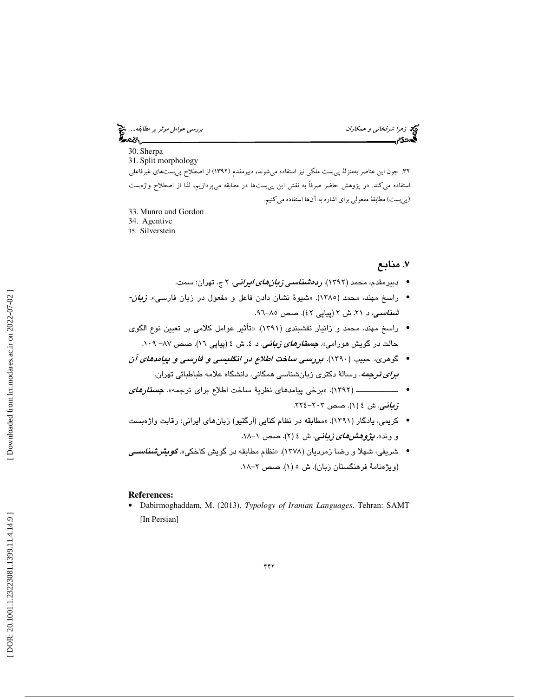زهرا شرفخاني و همكاران بررسي عوامل موثر بر مطابقه...

30. Sherpa

31. Split morphology 32. چون اين عناصر بهمنزلة پيبست ملكي نيز استفاده ميشوند، دبيرمقدم (1392) از اصطلاح پيبستهاي غيرفاعلي استفاده ميكند. در پژوهش حاضر صرفاً به نقش اين پيبستها در مطابقه ميپردازيم، لذا از اصطلاح واژهبست (پيبست) مطابقة مفعولي براي اشاره به آنها استفاده ميكنيم.

- 33. Munro and Gordon
- 34. Agentive
- 35. Silverstein

## ۷. منابع

- دبيرمقدم، محمد (١٣٩٢). *ردمشناسي زبانهاي ايراني*. ٢ ج. تهران: سمت.
- راسخ مهند، محمد (١٣٨٥). «شيوهٔ نشان دادن فاعل و مفعول در زبان فارس*ي». زبان-شناسي، د ۲*۱. ش ۲ (پياپی ٤٢). صص ۸۵–۹۲.
- راسخ مهند، محمد و زانيار نقشبندي (1391). «تأثير عوامل كلامي بر تعيين نوع الگوي حالت در گویش هورامی». *جست<i>ارهای زبانی***.** د ٤. ش ٤ (پیاپی ١٦). صص ٨٧– ١٠٩.
- گوهري، حبيب (1390). بررسي ساخت اطلاع در انگليسي و فارسي و پيامدهاي آن براي ترجمه. رسالة دكتري زبانشناسي همگاني. دانشگاه علامه طباطبائي تهران.
- ــــــــــــــــ ( 1392 « ). برخي پيامدهاي نظري ة ساخت اطلاع براي ترجمه . » جستارهاي زباني. ش ٤ (١). صص ٢٠٣-٢٢٤.
- كريمي، يادگار (١٣٩١). «مطابقه در نظام كنايي (ارگتيو) زبانهاي ايراني: رقابت واژهبست و وند». *پژوهشهای زبانی.* ش ٤ (۲). صص ١-١٨.
- شريفي، شهلا و رضا زمرديان (١٣٧٨). «نظام مطابقه در گويش كاخكي». *گويش <i>شناس***ـي** (ويژهنامة فرهنگستان زبان). ش ٥ (١). صص ٢-١٨.

#### **References:**

• Dabirmoghaddam, M. (2013). *Typology of Iranian Languages*. Tehran: SAMT [In Persian]